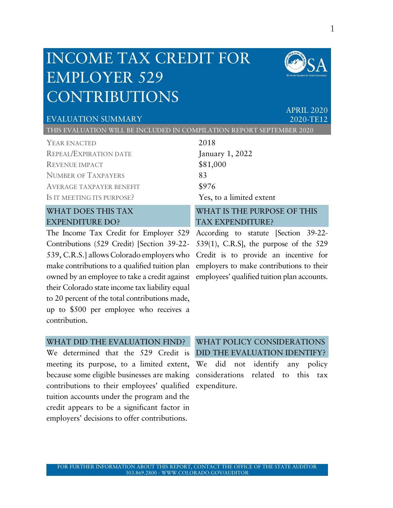# INCOME TAX CREDIT FOR EMPLOYER 529 CONTRIBUTIONS



APRIL 2020

#### EVALUATION SUMMARY 2020-TE12

THIS EVALUATION WILL BE INCLUDED IN COMPILATION REPORT SEPTEMBER 2020

| YEAR ENACTED                    | 2018                        |
|---------------------------------|-----------------------------|
| <b>REPEAL/EXPIRATION DATE</b>   | January 1, 2022             |
| <b>REVENUE IMPACT</b>           | \$81,000                    |
| <b>NUMBER OF TAXPAYERS</b>      | 83                          |
| <b>AVERAGE TAXPAYER BENEFIT</b> | \$976                       |
| IS IT MEETING ITS PURPOSE?      | Yes, to a limited extent    |
| <b>WHAT DOES THIS TAX</b>       | WHAT IS THE PURPOSE OF THIS |
| <b>EXPENDITURE DO?</b>          | <b>TAX EXPENDITURE?</b>     |

The Income Tax Credit for Employer 529 According to statute [Section 39-22- Contributions (529 Credit) [Section 39-22- 539, C.R.S.] allows Colorado employers who Credit is to provide an incentive for make contributions to a qualified tuition plan employers to make contributions to their owned by an employee to take a credit against employees' qualified tuition plan accounts. their Colorado state income tax liability equal to 20 percent of the total contributions made, up to \$500 per employee who receives a contribution.

# TAX EXPENDITURE? 539(1), C.R.S], the purpose of the 529

#### WHAT DID THE EVALUATION FIND?

We determined that the 529 Credit is DID THE EVALUATION IDENTIFY? meeting its purpose, to a limited extent, We did not identify any policy because some eligible businesses are making considerations related to this tax contributions to their employees' qualified expenditure.tuition accounts under the program and the credit appears to be a significant factor in employers' decisions to offer contributions.

# WHAT POLICY CONSIDERATIONS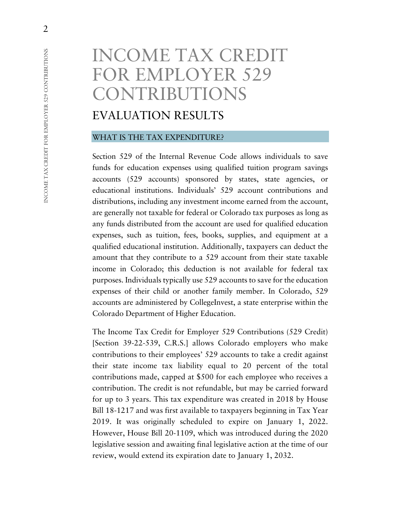# INCOME TAX CREDIT FOR EMPLOYER 529 CONTRIBUTIONS

# EVALUATION RESULTS

#### WHAT IS THE TAX EXPENDITURE?

Section 529 of the Internal Revenue Code allows individuals to save funds for education expenses using qualified tuition program savings accounts (529 accounts) sponsored by states, state agencies, or educational institutions. Individuals' 529 account contributions and distributions, including any investment income earned from the account, are generally not taxable for federal or Colorado tax purposes as long as any funds distributed from the account are used for qualified education expenses, such as tuition, fees, books, supplies, and equipment at a qualified educational institution. Additionally, taxpayers can deduct the amount that they contribute to a 529 account from their state taxable income in Colorado; this deduction is not available for federal tax purposes. Individuals typically use 529 accounts to save for the education expenses of their child or another family member. In Colorado, 529 accounts are administered by CollegeInvest, a state enterprise within the Colorado Department of Higher Education.

The Income Tax Credit for Employer 529 Contributions (529 Credit) [Section 39-22-539, C.R.S.] allows Colorado employers who make contributions to their employees' 529 accounts to take a credit against their state income tax liability equal to 20 percent of the total contributions made, capped at \$500 for each employee who receives a contribution. The credit is not refundable, but may be carried forward for up to 3 years. This tax expenditure was created in 2018 by House Bill 18-1217 and was first available to taxpayers beginning in Tax Year 2019. It was originally scheduled to expire on January 1, 2022. However, House Bill 20-1109, which was introduced during the 2020 legislative session and awaiting final legislative action at the time of our review, would extend its expiration date to January 1, 2032.

2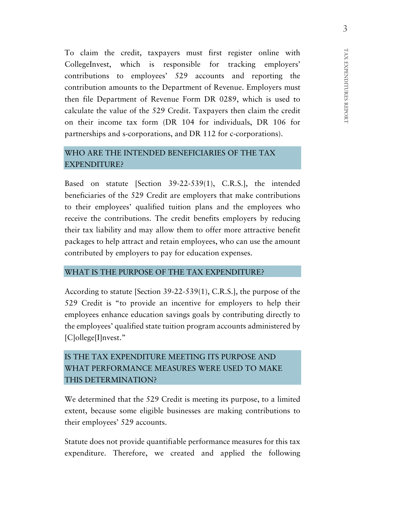To claim the credit, taxpayers must first register online with CollegeInvest, which is responsible for tracking employers' contributions to employees' 529 accounts and reporting the contribution amounts to the Department of Revenue. Employers must then file Department of Revenue Form DR 0289, which is used to calculate the value of the 529 Credit. Taxpayers then claim the credit on their income tax form (DR 104 for individuals, DR 106 for partnerships and s-corporations, and DR 112 for c-corporations).

### WHO ARE THE INTENDED BENEFICIARIES OF THE TAX EXPENDITURE?

Based on statute [Section 39-22-539(1), C.R.S.], the intended beneficiaries of the 529 Credit are employers that make contributions to their employees' qualified tuition plans and the employees who receive the contributions. The credit benefits employers by reducing their tax liability and may allow them to offer more attractive benefit packages to help attract and retain employees, who can use the amount contributed by employers to pay for education expenses.

#### WHAT IS THE PURPOSE OF THE TAX EXPENDITURE?

According to statute [Section 39-22-539(1), C.R.S.], the purpose of the 529 Credit is "to provide an incentive for employers to help their employees enhance education savings goals by contributing directly to the employees' qualified state tuition program accounts administered by [C]ollege[I]nvest."

# IS THE TAX EXPENDITURE MEETING ITS PURPOSE AND WHAT PERFORMANCE MEASURES WERE USED TO MAKE THIS DETERMINATION?

We determined that the 529 Credit is meeting its purpose, to a limited extent, because some eligible businesses are making contributions to their employees' 529 accounts.

Statute does not provide quantifiable performance measures for this tax expenditure. Therefore, we created and applied the following

TAX EXPENDITURES REPORT

TAX EXPENDITURES REPORT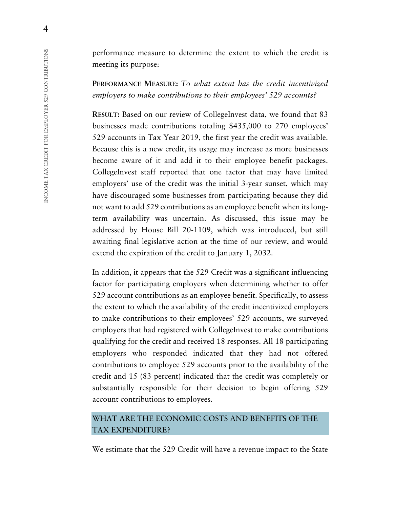performance measure to determine the extent to which the credit is meeting its purpose:

**PERFORMANCE MEASURE:** *To what extent has the credit incentivized employers to make contributions to their employees' 529 accounts?*

**RESULT:** Based on our review of CollegeInvest data, we found that 83 businesses made contributions totaling \$435,000 to 270 employees' 529 accounts in Tax Year 2019, the first year the credit was available. Because this is a new credit, its usage may increase as more businesses become aware of it and add it to their employee benefit packages. CollegeInvest staff reported that one factor that may have limited employers' use of the credit was the initial 3-year sunset, which may have discouraged some businesses from participating because they did not want to add 529 contributions as an employee benefit when its longterm availability was uncertain. As discussed, this issue may be addressed by House Bill 20-1109, which was introduced, but still awaiting final legislative action at the time of our review, and would extend the expiration of the credit to January 1, 2032.

In addition, it appears that the 529 Credit was a significant influencing factor for participating employers when determining whether to offer 529 account contributions as an employee benefit. Specifically, to assess the extent to which the availability of the credit incentivized employers to make contributions to their employees' 529 accounts, we surveyed employers that had registered with CollegeInvest to make contributions qualifying for the credit and received 18 responses. All 18 participating employers who responded indicated that they had not offered contributions to employee 529 accounts prior to the availability of the credit and 15 (83 percent) indicated that the credit was completely or substantially responsible for their decision to begin offering 529 account contributions to employees.

### WHAT ARE THE ECONOMIC COSTS AND BENEFITS OF THE TAX EXPENDITURE?

We estimate that the 529 Credit will have a revenue impact to the State

4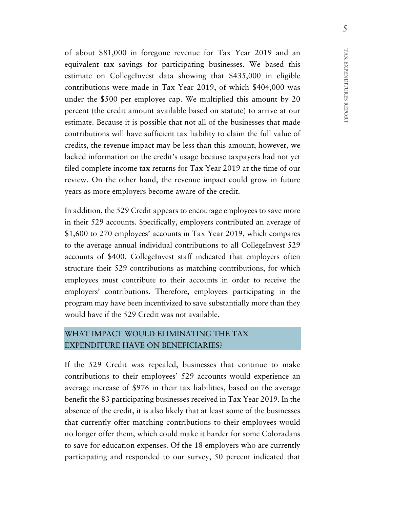of about \$81,000 in foregone revenue for Tax Year 2019 and an equivalent tax savings for participating businesses. We based this estimate on CollegeInvest data showing that \$435,000 in eligible contributions were made in Tax Year 2019, of which \$404,000 was under the \$500 per employee cap. We multiplied this amount by 20 percent (the credit amount available based on statute) to arrive at our estimate. Because it is possible that not all of the businesses that made contributions will have sufficient tax liability to claim the full value of credits, the revenue impact may be less than this amount; however, we lacked information on the credit's usage because taxpayers had not yet filed complete income tax returns for Tax Year 2019 at the time of our review. On the other hand, the revenue impact could grow in future years as more employers become aware of the credit.

In addition, the 529 Credit appears to encourage employees to save more in their 529 accounts. Specifically, employers contributed an average of \$1,600 to 270 employees' accounts in Tax Year 2019, which compares to the average annual individual contributions to all CollegeInvest 529 accounts of \$400. CollegeInvest staff indicated that employers often structure their 529 contributions as matching contributions, for which employees must contribute to their accounts in order to receive the employers' contributions. Therefore, employees participating in the program may have been incentivized to save substantially more than they would have if the 529 Credit was not available.

## WHAT IMPACT WOULD ELIMINATING THE TAX EXPENDITURE HAVE ON BENEFICIARIES?

If the 529 Credit was repealed, businesses that continue to make contributions to their employees' 529 accounts would experience an average increase of \$976 in their tax liabilities, based on the average benefit the 83 participating businesses received in Tax Year 2019. In the absence of the credit, it is also likely that at least some of the businesses that currently offer matching contributions to their employees would no longer offer them, which could make it harder for some Coloradans to save for education expenses. Of the 18 employers who are currently participating and responded to our survey, 50 percent indicated that

5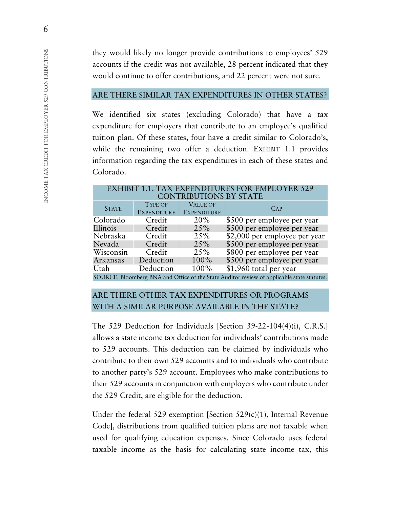they would likely no longer provide contributions to employees' 529 accounts if the credit was not available, 28 percent indicated that they would continue to offer contributions, and 22 percent were not sure.

#### ARE THERE SIMILAR TAX EXPENDITURES IN OTHER STATES?

We identified six states (excluding Colorado) that have a tax expenditure for employers that contribute to an employee's qualified tuition plan. Of these states, four have a credit similar to Colorado's, while the remaining two offer a deduction. EXHIBIT 1.1 provides information regarding the tax expenditures in each of these states and Colorado.

EXHIBIT 1.1. TAX EXPENDITURES FOR EMPLOYER 529 CONTRIBUTIONS BY STATE

| <b>STATE</b>                                                                               | <b>TYPE OF</b>     | <b>VALUE OF</b>    | CAP                           |
|--------------------------------------------------------------------------------------------|--------------------|--------------------|-------------------------------|
|                                                                                            | <b>EXPENDITURE</b> | <b>EXPENDITURE</b> |                               |
| Colorado                                                                                   | Credit             | 20%                | \$500 per employee per year   |
| Illinois                                                                                   | Credit             | 25%                | \$500 per employee per year   |
| Nebraska                                                                                   | Credit             | 25%                | \$2,000 per employee per year |
| Nevada                                                                                     | Credit             | 25%                | \$500 per employee per year   |
| Wisconsin                                                                                  | Credit             | 25%                | \$800 per employee per year   |
| Arkansas                                                                                   | Deduction          | $100\%$            | \$500 per employee per year   |
| Utah                                                                                       | Deduction          | 100%               | \$1,960 total per year        |
| SOURCE: Bloomberg BNA and Office of the State Auditor review of applicable state statutes. |                    |                    |                               |

### ARE THERE OTHER TAX EXPENDITURES OR PROGRAMS WITH A SIMILAR PURPOSE AVAILABLE IN THE STATE?

The 529 Deduction for Individuals [Section 39-22-104(4)(i), C.R.S.] allows a state income tax deduction for individuals' contributions made to 529 accounts. This deduction can be claimed by individuals who contribute to their own 529 accounts and to individuals who contribute to another party's 529 account. Employees who make contributions to their 529 accounts in conjunction with employers who contribute under the 529 Credit, are eligible for the deduction.

Under the federal 529 exemption [Section 529(c)(1), Internal Revenue Code], distributions from qualified tuition plans are not taxable when used for qualifying education expenses. Since Colorado uses federal taxable income as the basis for calculating state income tax, this